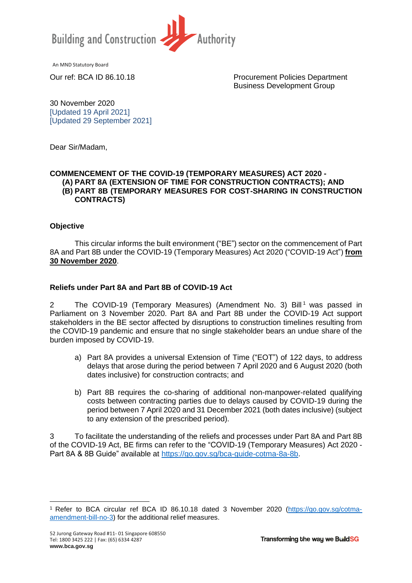

An MND Statutory Board

Our ref: BCA ID 86.10.18 Procurement Policies Department Business Development Group

30 November 2020 [Updated 19 April 2021] [Updated 29 September 2021]

Dear Sir/Madam,

#### **COMMENCEMENT OF THE COVID-19 (TEMPORARY MEASURES) ACT 2020 - (A) PART 8A (EXTENSION OF TIME FOR CONSTRUCTION CONTRACTS); AND (B) PART 8B (TEMPORARY MEASURES FOR COST-SHARING IN CONSTRUCTION CONTRACTS)**

## **Objective**

This circular informs the built environment ("BE") sector on the commencement of Part 8A and Part 8B under the COVID-19 (Temporary Measures) Act 2020 ("COVID-19 Act") **from 30 November 2020**.

# **Reliefs under Part 8A and Part 8B of COVID-19 Act**

2 The COVID-19 (Temporary Measures) (Amendment No. 3) Bill<sup>1</sup> was passed in Parliament on 3 November 2020. Part 8A and Part 8B under the COVID-19 Act support stakeholders in the BE sector affected by disruptions to construction timelines resulting from the COVID-19 pandemic and ensure that no single stakeholder bears an undue share of the burden imposed by COVID-19.

- a) Part 8A provides a universal Extension of Time ("EOT") of 122 days, to address delays that arose during the period between 7 April 2020 and 6 August 2020 (both dates inclusive) for construction contracts; and
- b) Part 8B requires the co-sharing of additional non-manpower-related qualifying costs between contracting parties due to delays caused by COVID-19 during the period between 7 April 2020 and 31 December 2021 (both dates inclusive) (subject to any extension of the prescribed period).

3 To facilitate the understanding of the reliefs and processes under Part 8A and Part 8B of the COVID-19 Act, BE firms can refer to the "COVID-19 (Temporary Measures) Act 2020 - Part 8A & 8B Guide" available at [https://go.gov.sg/bca-guide-cotma-8a-8b.](https://go.gov.sg/bca-guide-cotma-8a-8b)

<sup>1</sup> Refer to BCA circular ref BCA ID 86.10.18 dated 3 November 2020 [\(https://go.gov.sg/cotma](https://go.gov.sg/cotma-amendment-bill-no-3)[amendment-bill-no-3\)](https://go.gov.sg/cotma-amendment-bill-no-3) for the additional relief measures.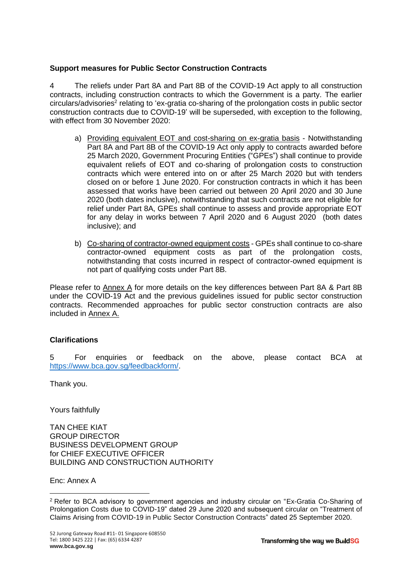# **Support measures for Public Sector Construction Contracts**

4 The reliefs under Part 8A and Part 8B of the COVID-19 Act apply to all construction contracts, including construction contracts to which the Government is a party. The earlier circulars/advisories<sup>2</sup> relating to 'ex-gratia co-sharing of the prolongation costs in public sector construction contracts due to COVID-19' will be superseded, with exception to the following, with effect from 30 November 2020:

- a) Providing equivalent EOT and cost-sharing on ex-gratia basis Notwithstanding Part 8A and Part 8B of the COVID-19 Act only apply to contracts awarded before 25 March 2020, Government Procuring Entities ("GPEs") shall continue to provide equivalent reliefs of EOT and co-sharing of prolongation costs to construction contracts which were entered into on or after 25 March 2020 but with tenders closed on or before 1 June 2020. For construction contracts in which it has been assessed that works have been carried out between 20 April 2020 and 30 June 2020 (both dates inclusive), notwithstanding that such contracts are not eligible for relief under Part 8A, GPEs shall continue to assess and provide appropriate EOT for any delay in works between 7 April 2020 and 6 August 2020 (both dates inclusive); and
- b) Co-sharing of contractor-owned equipment costs GPEs shall continue to co-share contractor-owned equipment costs as part of the prolongation costs, notwithstanding that costs incurred in respect of contractor-owned equipment is not part of qualifying costs under Part 8B.

Please refer to Annex A for more details on the key differences between Part 8A & Part 8B under the COVID-19 Act and the previous guidelines issued for public sector construction contracts. Recommended approaches for public sector construction contracts are also included in Annex A.

## **Clarifications**

5 For enquiries or feedback on the above, please contact BCA at [https://www.bca.gov.sg/feedbackform/.](https://www.bca.gov.sg/feedbackform/)

Thank you.

Yours faithfully

TAN CHEE KIAT GROUP DIRECTOR BUSINESS DEVELOPMENT GROUP for CHIEF EXECUTIVE OFFICER BUILDING AND CONSTRUCTION AUTHORITY

Enc: Annex A

<sup>2</sup> Refer to BCA advisory to government agencies and industry circular on "Ex-Gratia Co-Sharing of Prolongation Costs due to COVID-19" dated 29 June 2020 and subsequent circular on "Treatment of Claims Arising from COVID-19 in Public Sector Construction Contracts" dated 25 September 2020.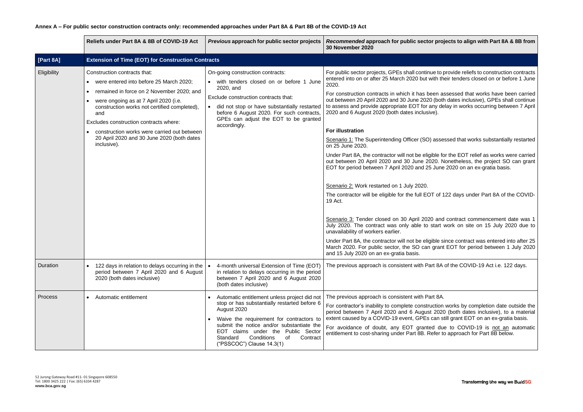**Reliefs by align with Part 8A & 8B from** 

to provide reliefs to construction contracts their tenders closed on or before 1 June

**Rous construction contracts in assessed that works have been carried** oth dates inclusive), GPEs shall continue delay in works occurring between 7 April

sessed that works substantially restarted

for the EOT relief as works were carried . Nonetheless, the project SO can grant ne 2020 on an ex-gratia basis.

f 122 days under Part 8A of the COVID-

nd contract commencement date was 1 rt work on site on 15 July 2020 due to

e since contract was entered into after 25 ant EOT for period between 1 July 2020.

BA of the COVID-19 Act i.e. 122 days.

on works by completion date outside the 020 (both dates inclusive), to a material i still grant EOT on an ex-gratia basis.

due to COVID-19 is not an automatic to approach for Part 8B below.

|                | <b>Reliefs under Part 8A &amp; 8B of COVID-19 Act</b>                                                                                                                                                                                                                                                                                                                      | Previous approach for public sector projects                                                                                                                                                                                                                                                                        | Recommended approach for public sector pro<br><b>30 November 2020</b>                                                                                                                                                                                                                                                                                                                                                                                                                                                                                                                                                                                                                                                                                                                                                                                                                                                                                                                                                |
|----------------|----------------------------------------------------------------------------------------------------------------------------------------------------------------------------------------------------------------------------------------------------------------------------------------------------------------------------------------------------------------------------|---------------------------------------------------------------------------------------------------------------------------------------------------------------------------------------------------------------------------------------------------------------------------------------------------------------------|----------------------------------------------------------------------------------------------------------------------------------------------------------------------------------------------------------------------------------------------------------------------------------------------------------------------------------------------------------------------------------------------------------------------------------------------------------------------------------------------------------------------------------------------------------------------------------------------------------------------------------------------------------------------------------------------------------------------------------------------------------------------------------------------------------------------------------------------------------------------------------------------------------------------------------------------------------------------------------------------------------------------|
| [Part 8A]      | <b>Extension of Time (EOT) for Construction Contracts</b>                                                                                                                                                                                                                                                                                                                  |                                                                                                                                                                                                                                                                                                                     |                                                                                                                                                                                                                                                                                                                                                                                                                                                                                                                                                                                                                                                                                                                                                                                                                                                                                                                                                                                                                      |
| Eligibility    | Construction contracts that:<br>were entered into before 25 March 2020;<br>remained in force on 2 November 2020; and<br>were ongoing as at 7 April 2020 (i.e.<br>construction works not certified completed),<br>and<br>Excludes construction contracts where:<br>construction works were carried out between<br>20 April 2020 and 30 June 2020 (both dates<br>inclusive). | On-going construction contracts:<br>• with tenders closed on or before 1 June<br>2020, and<br>Exclude construction contracts that:<br>• did not stop or have substantially restarted<br>before 6 August 2020. For such contracts,<br>GPEs can adjust the EOT to be granted<br>accordingly.                          | For public sector projects, GPEs shall continue to p<br>entered into on or after 25 March 2020 but with th<br>2020.<br>For construction contracts in which it has been a<br>out between 20 April 2020 and 30 June 2020 (both<br>to assess and provide appropriate EOT for any de<br>2020 and 6 August 2020 (both dates inclusive).<br><b>For illustration</b><br>Scenario 1: The Superintending Officer (SO) asse<br>on 25 June 2020.<br>Under Part 8A, the contractor will not be eligible fo<br>out between 20 April 2020 and 30 June 2020. N<br>EOT for period between 7 April 2020 and 25 June<br>Scenario 2: Work restarted on 1 July 2020.<br>The contractor will be eligible for the full EOT of 1<br>19 Act.<br>Scenario 3: Tender closed on 30 April 2020 and<br>July 2020. The contract was only able to start<br>unavailability of workers earlier.<br>Under Part 8A, the contractor will not be eligible s<br>March 2020. For public sector, the SO can grant<br>and 15 July 2020 on an ex-gratia basis. |
| Duration       | 122 days in relation to delays occurring in the<br>period between 7 April 2020 and 6 August<br>2020 (both dates inclusive)                                                                                                                                                                                                                                                 | 4-month universal Extension of Time (EOT)<br>in relation to delays occurring in the period<br>between 7 April 2020 and 6 August 2020<br>(both dates inclusive)                                                                                                                                                      | The previous approach is consistent with Part 8A                                                                                                                                                                                                                                                                                                                                                                                                                                                                                                                                                                                                                                                                                                                                                                                                                                                                                                                                                                     |
| <b>Process</b> | Automatic entitlement                                                                                                                                                                                                                                                                                                                                                      | Automatic entitlement unless project did not<br>stop or has substantially restarted before 6<br>August 2020<br>Waive the requirement for contractors to<br>submit the notice and/or substantiate the<br>EOT claims under the Public Sector<br>Conditions<br>Standard<br>of<br>Contract<br>("PSSCOC") Clause 14.3(1) | The previous approach is consistent with Part 8A.<br>For contractor's inability to complete construction<br>period between 7 April 2020 and 6 August 2020<br>extent caused by a COVID-19 event, GPEs can s<br>For avoidance of doubt, any EOT granted du<br>entitlement to cost-sharing under Part 8B. Refer to                                                                                                                                                                                                                                                                                                                                                                                                                                                                                                                                                                                                                                                                                                      |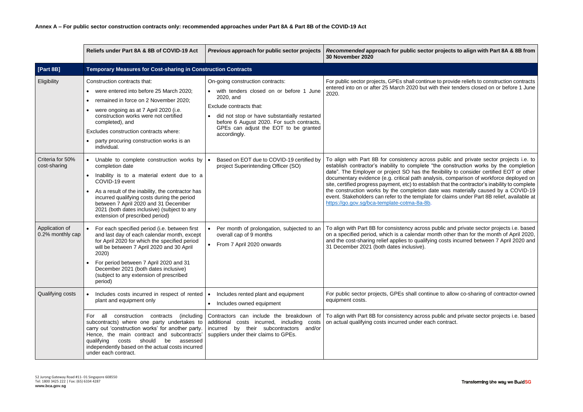## **Reliefs to align with Part 8A & 8B from**

#### to provide reliefs to construction contracts their tenders closed on or before 1 June

public and private sector projects i.e. to e construction works by the completion xibility to consider certified EOT or other is, comparison of workforce deployed on ithat the contractor's inability to complete  $\theta$  was materially caused by a COVID-19 or claims under Part 8B relief, available at

blic and private sector projects i.e. based th other than for the month of April 2020, costs incurred between 7 April 2020 and

to allow co-sharing of contractor-owned

blic and private sector projects i.e. based contract.

Transforming the way we BuildSG

|                                    | Reliefs under Part 8A & 8B of COVID-19 Act                                                                                                                                                                                                                                                                                                               | Previous approach for public sector projects                                                                                                                                                                                                                              | Recommended approach for public sector pr<br><b>30 November 2020</b>                                                                                                                                                                                                                                                                                                                                                 |
|------------------------------------|----------------------------------------------------------------------------------------------------------------------------------------------------------------------------------------------------------------------------------------------------------------------------------------------------------------------------------------------------------|---------------------------------------------------------------------------------------------------------------------------------------------------------------------------------------------------------------------------------------------------------------------------|----------------------------------------------------------------------------------------------------------------------------------------------------------------------------------------------------------------------------------------------------------------------------------------------------------------------------------------------------------------------------------------------------------------------|
| [Part 8B]                          | <b>Temporary Measures for Cost-sharing in Construction Contracts</b>                                                                                                                                                                                                                                                                                     |                                                                                                                                                                                                                                                                           |                                                                                                                                                                                                                                                                                                                                                                                                                      |
| Eligibility                        | Construction contracts that:<br>were entered into before 25 March 2020;<br>remained in force on 2 November 2020;<br>were ongoing as at 7 April 2020 (i.e.<br>construction works were not certified<br>completed), and<br>Excludes construction contracts where:<br>party procuring construction works is an<br>individual.                               | On-going construction contracts:<br>with tenders closed on or before 1 June<br>2020, and<br>Exclude contracts that:<br>did not stop or have substantially restarted<br>before 6 August 2020. For such contracts,<br>GPEs can adjust the EOT to be granted<br>accordingly. | For public sector projects, GPEs shall continue to<br>entered into on or after 25 March 2020 but with<br>2020.                                                                                                                                                                                                                                                                                                       |
| Criteria for 50%<br>cost-sharing   | Unable to complete construction works by<br>completion date<br>Inability is to a material extent due to a<br>COVID-19 event<br>As a result of the inability, the contractor has<br>incurred qualifying costs during the period<br>between 7 April 2020 and 31 December<br>2021 (both dates inclusive) (subject to any<br>extension of prescribed period) | Based on EOT due to COVID-19 certified by<br>project Superintending Officer (SO)                                                                                                                                                                                          | To align with Part 8B for consistency across p<br>establish contractor's inability to complete "the<br>date". The Employer or project SO has the flex<br>documentary evidence (e.g. critical path analysi<br>site, certified progress payment, etc) to establish<br>the construction works by the completion date<br>event. Stakeholders can refer to the template fo<br>https://go.gov.sg/bca-template-cotma-8a-8b. |
| Application of<br>0.2% monthly cap | For each specified period (i.e. between first<br>and last day of each calendar month, except<br>for April 2020 for which the specified period<br>will be between 7 April 2020 and 30 April<br>2020)<br>For period between 7 April 2020 and 31<br>December 2021 (both dates inclusive)<br>(subject to any extension of prescribed<br>period)              | Per month of prolongation, subjected to an<br>overall cap of 9 months<br>From 7 April 2020 onwards                                                                                                                                                                        | To align with Part 8B for consistency across put<br>on a specified period, which is a calendar mont<br>and the cost-sharing relief applies to qualifying<br>31 December 2021 (both dates inclusive).                                                                                                                                                                                                                 |
| Qualifying costs                   | Includes costs incurred in respect of rented<br>plant and equipment only                                                                                                                                                                                                                                                                                 | Includes rented plant and equipment<br>$\bullet$<br>Includes owned equipment<br>$\bullet$                                                                                                                                                                                 | For public sector projects, GPEs shall continue<br>equipment costs.                                                                                                                                                                                                                                                                                                                                                  |
|                                    | (including<br>For<br>all<br>construction<br>contracts<br>subcontracts) where one party undertakes to<br>carry out 'construction works' for another party.<br>Hence, the main contract and subcontracts'<br>qualifying<br>should<br>be<br>assessed<br>costs<br>independently based on the actual costs incurred<br>under each contract.                   | Contractors can include the breakdown of<br>additional costs incurred, including<br>costs<br>incurred by their subcontractors<br>and/or<br>suppliers under their claims to GPEs.                                                                                          | To align with Part 8B for consistency across pub<br>on actual qualifying costs incurred under each c                                                                                                                                                                                                                                                                                                                 |